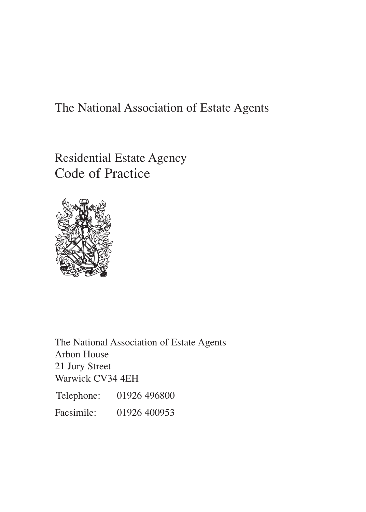## The National Association of Estate Agents

Residential Estate Agency Code of Practice



The National Association of Estate Agents Arbon House 21 Jury Street Warwick CV34 4EH Telephone: 01926 496800 Facsimile: 01926 400953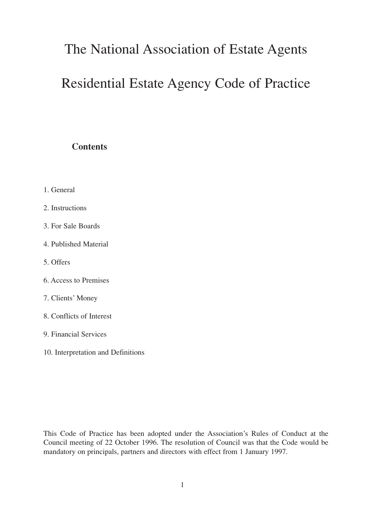# The National Association of Estate Agents

## Residential Estate Agency Code of Practice

#### **Contents**

- 1. General
- 2. Instructions
- 3. For Sale Boards
- 4. Published Material
- 5. Offers
- 6. Access to Premises
- 7. Clients' Money
- 8. Conflicts of Interest
- 9. Financial Services
- 10. Interpretation and Definitions

This Code of Practice has been adopted under the Association's Rules of Conduct at the Council meeting of 22 October 1996. The resolution of Council was that the Code would be mandatory on principals, partners and directors with effect from 1 January 1997.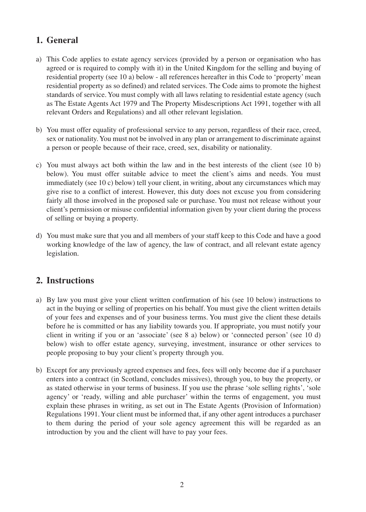## **1. General**

- a) This Code applies to estate agency services (provided by a person or organisation who has agreed or is required to comply with it) in the United Kingdom for the selling and buying of residential property (see 10 a) below - all references hereafter in this Code to 'property' mean residential property as so defined) and related services. The Code aims to promote the highest standards of service. You must comply with all laws relating to residential estate agency (such as The Estate Agents Act 1979 and The Property Misdescriptions Act 1991, together with all relevant Orders and Regulations) and all other relevant legislation.
- b) You must offer equality of professional service to any person, regardless of their race, creed, sex or nationality. You must not be involved in any plan or arrangement to discriminate against a person or people because of their race, creed, sex, disability or nationality.
- c) You must always act both within the law and in the best interests of the client (see 10 b) below). You must offer suitable advice to meet the client's aims and needs. You must immediately (see 10 c) below) tell your client, in writing, about any circumstances which may give rise to a conflict of interest. However, this duty does not excuse you from considering fairly all those involved in the proposed sale or purchase. You must not release without your client's permission or misuse confidential information given by your client during the process of selling or buying a property.
- d) You must make sure that you and all members of your staff keep to this Code and have a good working knowledge of the law of agency, the law of contract, and all relevant estate agency legislation.

### **2. Instructions**

- a) By law you must give your client written confirmation of his (see 10 below) instructions to act in the buying or selling of properties on his behalf. You must give the client written details of your fees and expenses and of your business terms. You must give the client these details before he is committed or has any liability towards you. If appropriate, you must notify your client in writing if you or an 'associate' (see 8 a) below) or 'connected person' (see 10 d) below) wish to offer estate agency, surveying, investment, insurance or other services to people proposing to buy your client's property through you.
- b) Except for any previously agreed expenses and fees, fees will only become due if a purchaser enters into a contract (in Scotland, concludes missives), through you, to buy the property, or as stated otherwise in your terms of business. If you use the phrase 'sole selling rights', 'sole agency' or 'ready, willing and able purchaser' within the terms of engagement, you must explain these phrases in writing, as set out in The Estate Agents (Provision of Information) Regulations 1991. Your client must be informed that, if any other agent introduces a purchaser to them during the period of your sole agency agreement this will be regarded as an introduction by you and the client will have to pay your fees.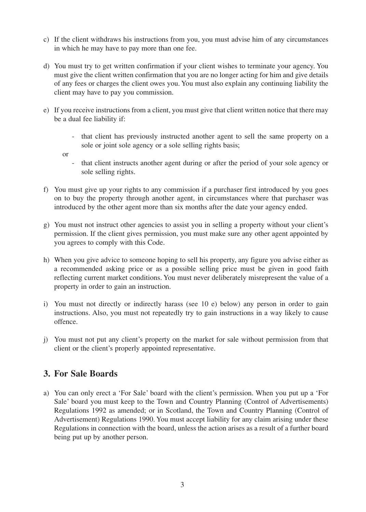- c) If the client withdraws his instructions from you, you must advise him of any circumstances in which he may have to pay more than one fee.
- d) You must try to get written confirmation if your client wishes to terminate your agency. You must give the client written confirmation that you are no longer acting for him and give details of any fees or charges the client owes you. You must also explain any continuing liability the client may have to pay you commission.
- e) If you receive instructions from a client, you must give that client written notice that there may be a dual fee liability if:
	- that client has previously instructed another agent to sell the same property on a sole or joint sole agency or a sole selling rights basis;

or

- that client instructs another agent during or after the period of your sole agency or sole selling rights.
- f) You must give up your rights to any commission if a purchaser first introduced by you goes on to buy the property through another agent, in circumstances where that purchaser was introduced by the other agent more than six months after the date your agency ended.
- g) You must not instruct other agencies to assist you in selling a property without your client's permission. If the client gives permission, you must make sure any other agent appointed by you agrees to comply with this Code.
- h) When you give advice to someone hoping to sell his property, any figure you advise either as a recommended asking price or as a possible selling price must be given in good faith reflecting current market conditions. You must never deliberately misrepresent the value of a property in order to gain an instruction.
- i) You must not directly or indirectly harass (see 10 e) below) any person in order to gain instructions. Also, you must not repeatedly try to gain instructions in a way likely to cause offence.
- j) You must not put any client's property on the market for sale without permission from that client or the client's properly appointed representative.

#### **3. For Sale Boards**

a) You can only erect a 'For Sale' board with the client's permission. When you put up a 'For Sale' board you must keep to the Town and Country Planning (Control of Advertisements) Regulations 1992 as amended; or in Scotland, the Town and Country Planning (Control of Advertisement) Regulations 1990. You must accept liability for any claim arising under these Regulations in connection with the board, unless the action arises as a result of a further board being put up by another person.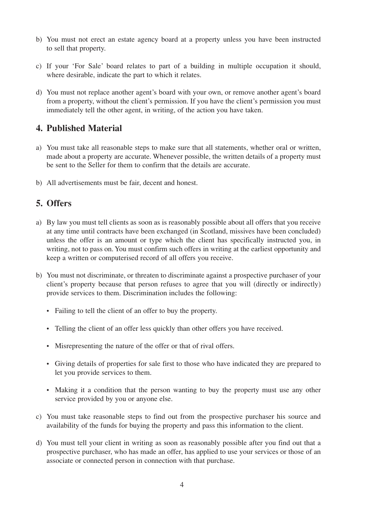- b) You must not erect an estate agency board at a property unless you have been instructed to sell that property.
- c) If your 'For Sale' board relates to part of a building in multiple occupation it should, where desirable, indicate the part to which it relates.
- d) You must not replace another agent's board with your own, or remove another agent's board from a property, without the client's permission. If you have the client's permission you must immediately tell the other agent, in writing, of the action you have taken.

### **4. Published Material**

- a) You must take all reasonable steps to make sure that all statements, whether oral or written, made about a property are accurate. Whenever possible, the written details of a property must be sent to the Seller for them to confirm that the details are accurate.
- b) All advertisements must be fair, decent and honest.

### **5. Offers**

- a) By law you must tell clients as soon as is reasonably possible about all offers that you receive at any time until contracts have been exchanged (in Scotland, missives have been concluded) unless the offer is an amount or type which the client has specifically instructed you, in writing, not to pass on. You must confirm such offers in writing at the earliest opportunity and keep a written or computerised record of all offers you receive.
- b) You must not discriminate, or threaten to discriminate against a prospective purchaser of your client's property because that person refuses to agree that you will (directly or indirectly) provide services to them. Discrimination includes the following:
	- Failing to tell the client of an offer to buy the property.
	- Telling the client of an offer less quickly than other offers you have received.
	- Misrepresenting the nature of the offer or that of rival offers.
	- Giving details of properties for sale first to those who have indicated they are prepared to let you provide services to them.
	- Making it a condition that the person wanting to buy the property must use any other service provided by you or anyone else.
- c) You must take reasonable steps to find out from the prospective purchaser his source and availability of the funds for buying the property and pass this information to the client.
- d) You must tell your client in writing as soon as reasonably possible after you find out that a prospective purchaser, who has made an offer, has applied to use your services or those of an associate or connected person in connection with that purchase.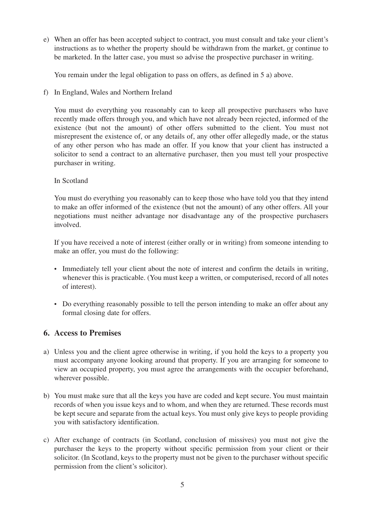e) When an offer has been accepted subject to contract, you must consult and take your client's instructions as to whether the property should be withdrawn from the market, or continue to be marketed. In the latter case, you must so advise the prospective purchaser in writing.

You remain under the legal obligation to pass on offers, as defined in 5 a) above.

f) In England, Wales and Northern Ireland

You must do everything you reasonably can to keep all prospective purchasers who have recently made offers through you, and which have not already been rejected, informed of the existence (but not the amount) of other offers submitted to the client. You must not misrepresent the existence of, or any details of, any other offer allegedly made, or the status of any other person who has made an offer. If you know that your client has instructed a solicitor to send a contract to an alternative purchaser, then you must tell your prospective purchaser in writing.

#### In Scotland

You must do everything you reasonably can to keep those who have told you that they intend to make an offer informed of the existence (but not the amount) of any other offers. All your negotiations must neither advantage nor disadvantage any of the prospective purchasers involved.

If you have received a note of interest (either orally or in writing) from someone intending to make an offer, you must do the following:

- Immediately tell your client about the note of interest and confirm the details in writing, whenever this is practicable. (You must keep a written, or computerised, record of all notes of interest).
- Do everything reasonably possible to tell the person intending to make an offer about any formal closing date for offers.

#### **6. Access to Premises**

- a) Unless you and the client agree otherwise in writing, if you hold the keys to a property you must accompany anyone looking around that property. If you are arranging for someone to view an occupied property, you must agree the arrangements with the occupier beforehand, wherever possible.
- b) You must make sure that all the keys you have are coded and kept secure. You must maintain records of when you issue keys and to whom, and when they are returned. These records must be kept secure and separate from the actual keys. You must only give keys to people providing you with satisfactory identification.
- c) After exchange of contracts (in Scotland, conclusion of missives) you must not give the purchaser the keys to the property without specific permission from your client or their solicitor. (In Scotland, keys to the property must not be given to the purchaser without specific permission from the client's solicitor).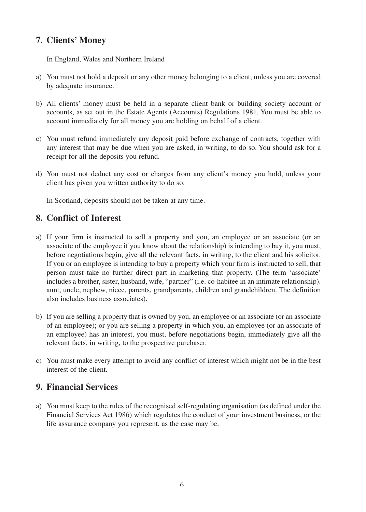### **7. Clients' Money**

In England, Wales and Northern Ireland

- a) You must not hold a deposit or any other money belonging to a client, unless you are covered by adequate insurance.
- b) All clients' money must be held in a separate client bank or building society account or accounts, as set out in the Estate Agents (Accounts) Regulations 1981. You must be able to account immediately for all money you are holding on behalf of a client.
- c) You must refund immediately any deposit paid before exchange of contracts, together with any interest that may be due when you are asked, in writing, to do so. You should ask for a receipt for all the deposits you refund.
- d) You must not deduct any cost or charges from any client's money you hold, unless your client has given you written authority to do so.

In Scotland, deposits should not be taken at any time.

### **8. Conflict of Interest**

- a) If your firm is instructed to sell a property and you, an employee or an associate (or an associate of the employee if you know about the relationship) is intending to buy it, you must, before negotiations begin, give all the relevant facts. in writing, to the client and his solicitor. If you or an employee is intending to buy a property which your firm is instructed to sell, that person must take no further direct part in marketing that property. (The term 'associate' includes a brother, sister, husband, wife, "partner" (i.e. co-habitee in an intimate relationship). aunt, uncle, nephew, niece, parents, grandparents, children and grandchildren. The definition also includes business associates).
- b) If you are selling a property that is owned by you, an employee or an associate (or an associate of an employee); or you are selling a property in which you, an employee (or an associate of an employee) has an interest, you must, before negotiations begin, immediately give all the relevant facts, in writing, to the prospective purchaser.
- c) You must make every attempt to avoid any conflict of interest which might not be in the best interest of the client.

#### **9. Financial Services**

a) You must keep to the rules of the recognised self-regulating organisation (as defined under the Financial Services Act 1986) which regulates the conduct of your investment business, or the life assurance company you represent, as the case may be.